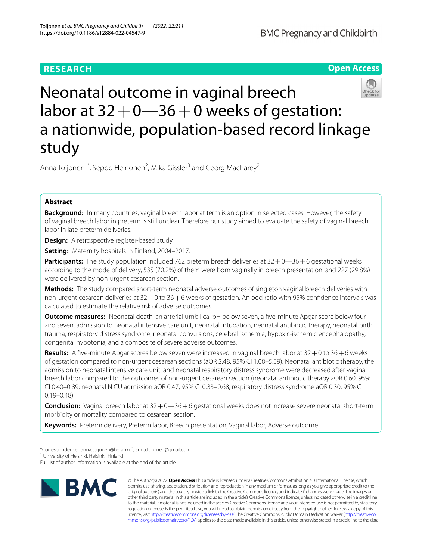# **RESEARCH**





# Neonatal outcome in vaginal breech labor at  $32+0$  -36 + 0 weeks of gestation: a nationwide, population-based record linkage study

Anna Toijonen<sup>1\*</sup>, Seppo Heinonen<sup>2</sup>, Mika Gissler<sup>3</sup> and Georg Macharey<sup>2</sup>

# **Abstract**

**Background:** In many countries, vaginal breech labor at term is an option in selected cases. However, the safety of vaginal breech labor in preterm is still unclear. Therefore our study aimed to evaluate the safety of vaginal breech labor in late preterm deliveries.

**Design:** A retrospective register-based study.

**Setting:** Maternity hospitals in Finland, 2004–2017.

**Participants:** The study population included 762 preterm breech deliveries at  $32 + 0$ —36 + 6 gestational weeks according to the mode of delivery, 535 (70.2%) of them were born vaginally in breech presentation, and 227 (29.8%) were delivered by non-urgent cesarean section.

**Methods:** The study compared short-term neonatal adverse outcomes of singleton vaginal breech deliveries with non-urgent cesarean deliveries at 32+0 to 36+6 weeks of gestation. An odd ratio with 95% confdence intervals was calculated to estimate the relative risk of adverse outcomes.

**Outcome measures:** Neonatal death, an arterial umbilical pH below seven, a five-minute Apgar score below four and seven, admission to neonatal intensive care unit, neonatal intubation, neonatal antibiotic therapy, neonatal birth trauma, respiratory distress syndrome, neonatal convulsions, cerebral ischemia, hypoxic-ischemic encephalopathy, congenital hypotonia, and a composite of severe adverse outcomes.

**Results:** A five-minute Apgar scores below seven were increased in vaginal breech labor at 32 + 0 to 36 + 6 weeks of gestation compared to non-urgent cesarean sections (aOR 2.48, 95% CI 1.08–5.59). Neonatal antibiotic therapy, the admission to neonatal intensive care unit, and neonatal respiratory distress syndrome were decreased after vaginal breech labor compared to the outcomes of non-urgent cesarean section (neonatal antibiotic therapy aOR 0.60, 95% CI 0.40–0.89; neonatal NICU admission aOR 0.47, 95% CI 0.33–0.68; respiratory distress syndrome aOR 0.30, 95% CI 0.19–0.48).

**Conclusion:** Vaginal breech labor at 32 + 0-36 + 6 gestational weeks does not increase severe neonatal short-term morbidity or mortality compared to cesarean section.

**Keywords:** Preterm delivery, Preterm labor, Breech presentation, Vaginal labor, Adverse outcome

<sup>1</sup> University of Helsinki, Helsinki, Finland

Full list of author information is available at the end of the article



© The Author(s) 2022. **Open Access** This article is licensed under a Creative Commons Attribution 4.0 International License, which permits use, sharing, adaptation, distribution and reproduction in any medium or format, as long as you give appropriate credit to the original author(s) and the source, provide a link to the Creative Commons licence, and indicate if changes were made. The images or other third party material in this article are included in the article's Creative Commons licence, unless indicated otherwise in a credit line to the material. If material is not included in the article's Creative Commons licence and your intended use is not permitted by statutory regulation or exceeds the permitted use, you will need to obtain permission directly from the copyright holder. To view a copy of this licence, visit [http://creativecommons.org/licenses/by/4.0/.](http://creativecommons.org/licenses/by/4.0/) The Creative Commons Public Domain Dedication waiver ([http://creativeco](http://creativecommons.org/publicdomain/zero/1.0/) [mmons.org/publicdomain/zero/1.0/](http://creativecommons.org/publicdomain/zero/1.0/)) applies to the data made available in this article, unless otherwise stated in a credit line to the data.

<sup>\*</sup>Correspondence: anna.toijonen@helsinki.f; anna.toijonen@gmail.com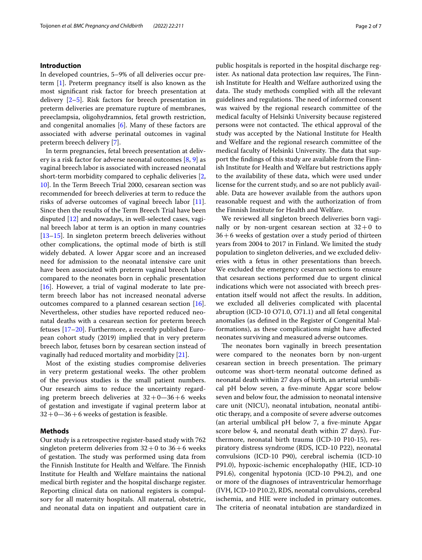## **Introduction**

In developed countries, 5–9% of all deliveries occur preterm [\[1](#page-6-0)]. Preterm pregnancy itself is also known as the most signifcant risk factor for breech presentation at delivery [[2–](#page-6-1)[5\]](#page-6-2). Risk factors for breech presentation in preterm deliveries are premature rupture of membranes, preeclampsia, oligohydramnios, fetal growth restriction, and congenital anomalies [\[6](#page-6-3)]. Many of these factors are associated with adverse perinatal outcomes in vaginal preterm breech delivery [\[7](#page-6-4)].

In term pregnancies, fetal breech presentation at delivery is a risk factor for adverse neonatal outcomes  $[8, 9]$  $[8, 9]$  $[8, 9]$  as vaginal breech labor is associated with increased neonatal short-term morbidity compared to cephalic deliveries [\[2](#page-6-1), [10\]](#page-6-7). In the Term Breech Trial 2000, cesarean section was recommended for breech deliveries at term to reduce the risks of adverse outcomes of vaginal breech labor [\[11](#page-6-8)]. Since then the results of the Term Breech Trial have been disputed [\[12\]](#page-6-9) and nowadays, in well-selected cases, vaginal breech labor at term is an option in many countries [[13–](#page-6-10)[15](#page-6-11)]. In singleton preterm breech deliveries without other complications, the optimal mode of birth is still widely debated. A lower Apgar score and an increased need for admission to the neonatal intensive care unit have been associated with preterm vaginal breech labor compared to the neonates born in cephalic presentation [[16\]](#page-6-12). However, a trial of vaginal moderate to late preterm breech labor has not increased neonatal adverse outcomes compared to a planned cesarean section [\[16](#page-6-12)]. Nevertheless, other studies have reported reduced neonatal deaths with a cesarean section for preterm breech fetuses  $[17–20]$  $[17–20]$  $[17–20]$  $[17–20]$ . Furthermore, a recently published European cohort study (2019) implied that in very preterm breech labor, fetuses born by cesarean section instead of vaginally had reduced mortality and morbidity [[21\]](#page-6-15).

Most of the existing studies compromise deliveries in very preterm gestational weeks. The other problem of the previous studies is the small patient numbers. Our research aims to reduce the uncertainty regarding preterm breech deliveries at  $32+0-36+6$  weeks of gestation and investigate if vaginal preterm labor at  $32+0$ —36+6 weeks of gestation is feasible.

# **Methods**

Our study is a retrospective register-based study with 762 singleton preterm deliveries from  $32+0$  to  $36+6$  weeks of gestation. The study was performed using data from the Finnish Institute for Health and Welfare. The Finnish Institute for Health and Welfare maintains the national medical birth register and the hospital discharge register. Reporting clinical data on national registers is compulsory for all maternity hospitals. All maternal, obstetric, and neonatal data on inpatient and outpatient care in public hospitals is reported in the hospital discharge register. As national data protection law requires, The Finnish Institute for Health and Welfare authorized using the data. The study methods complied with all the relevant guidelines and regulations. The need of informed consent was waived by the regional research committee of the medical faculty of Helsinki University because registered persons were not contacted. The ethical approval of the study was accepted by the National Institute for Health and Welfare and the regional research committee of the medical faculty of Helsinki University. The data that support the fndings of this study are available from the Finnish Institute for Health and Welfare but restrictions apply to the availability of these data, which were used under license for the current study, and so are not publicly available. Data are however available from the authors upon reasonable request and with the authorization of from the Finnish Institute for Health and Welfare.

We reviewed all singleton breech deliveries born vaginally or by non-urgent cesarean section at  $32+0$  to 36+6 weeks of gestation over a study period of thirteen years from 2004 to 2017 in Finland. We limited the study population to singleton deliveries, and we excluded deliveries with a fetus in other presentations than breech. We excluded the emergency cesarean sections to ensure that cesarean sections performed due to urgent clinical indications which were not associated with breech presentation itself would not afect the results. In addition, we excluded all deliveries complicated with placental abruption (ICD-10 O71.0, O71.1) and all fetal congenital anomalies (as defned in the Register of Congenital Malformations), as these complications might have afected neonates surviving and measured adverse outcomes.

The neonates born vaginally in breech presentation were compared to the neonates born by non-urgent cesarean section in breech presentation. The primary outcome was short-term neonatal outcome defned as neonatal death within 27 days of birth, an arterial umbilical pH below seven, a fve-minute Apgar score below seven and below four, the admission to neonatal intensive care unit (NICU), neonatal intubation, neonatal antibiotic therapy, and a composite of severe adverse outcomes (an arterial umbilical pH below 7, a fve-minute Apgar score below 4, and neonatal death within 27 days). Furthermore, neonatal birth trauma (ICD-10 P10-15), respiratory distress syndrome (RDS, ICD-10 P22), neonatal convulsions (ICD-10 P90), cerebral ischemia (ICD-10 P91.0), hypoxic-ischemic encephalopathy (HIE, ICD-10 P91.6), congenital hypotonia (ICD-10 P94.2), and one or more of the diagnoses of intraventricular hemorrhage (IVH, ICD-10 P10.2), RDS, neonatal convulsions, cerebral ischemia, and HIE were included in primary outcomes. The criteria of neonatal intubation are standardized in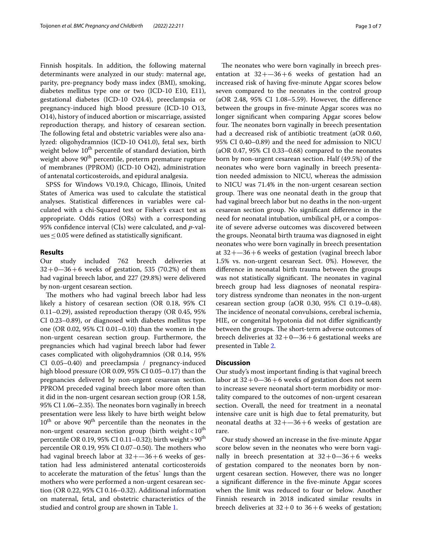Finnish hospitals. In addition, the following maternal determinants were analyzed in our study: maternal age, parity, pre-pregnancy body mass index (BMI), smoking, diabetes mellitus type one or two (ICD-10 E10, E11), gestational diabetes (ICD-10 O24.4), preeclampsia or pregnancy-induced high blood pressure (ICD-10 O13, O14), history of induced abortion or miscarriage, assisted reproduction therapy, and history of cesarean section. The following fetal and obstetric variables were also analyzed: oligohydramnios (ICD-10 O41.0), fetal sex, birth weight below 10<sup>th</sup> percentile of standard deviation, birth weight above  $90^{\rm th}$  percentile, preterm premature rupture of membranes (PPROM) (ICD-10 O42), administration of antenatal corticosteroids, and epidural analgesia.

SPSS for Windows V0.19.0, Chicago, Illinois, United States of America was used to calculate the statistical analyses. Statistical diferences in variables were calculated with a chi-Squared test or Fisher's exact test as appropriate. Odds ratios (ORs) with a corresponding 95% confdence interval (CIs) were calculated, and *p*-val $ues \leq 0.05$  were defined as statistically significant.

#### **Results**

Our study included 762 breech deliveries at  $32 + 0 - 36 + 6$  weeks of gestation, 535 (70.2%) of them had vaginal breech labor, and 227 (29.8%) were delivered by non-urgent cesarean section.

The mothers who had vaginal breech labor had less likely a history of cesarean section (OR 0.18, 95% CI 0.11–0.29), assisted reproduction therapy (OR 0.45, 95% CI 0.23–0.89), or diagnosed with diabetes mellitus type one (OR 0.02, 95% CI 0.01–0.10) than the women in the non-urgent cesarean section group. Furthermore, the pregnancies which had vaginal breech labor had fewer cases complicated with oligohydramnios (OR 0.14, 95% CI 0.05–0.40) and preeclampsia / pregnancy-induced high blood pressure (OR 0.09, 95% CI 0.05–0.17) than the pregnancies delivered by non-urgent cesarean section. PPROM preceded vaginal breech labor more often than it did in the non-urgent cesarean section group (OR 1.58, 95% CI 1.06-2.35). The neonates born vaginally in breech presentation were less likely to have birth weight below 10<sup>th</sup> or above 90<sup>th</sup> percentile than the neonates in the non-urgent cesarean section group (birth weight  $< 10<sup>th</sup>$ percentile OR 0.19, 95% CI 0.11-0.32); birth weight > 90<sup>th</sup> percentile OR 0.19, 95% CI 0.07-0.50). The mothers who had vaginal breech labor at  $32 + -36 + 6$  weeks of gestation had less administered antenatal corticosteroids to accelerate the maturation of the fetus` lungs than the mothers who were performed a non-urgent cesarean section (OR 0.22, 95% CI 0.16–0.32). Additional information on maternal, fetal, and obstetric characteristics of the studied and control group are shown in Table [1.](#page-3-0)

The neonates who were born vaginally in breech presentation at  $32 + -36 + 6$  weeks of gestation had an increased risk of having fve-minute Apgar scores below seven compared to the neonates in the control group (aOR 2.48, 95% CI 1.08–5.59). However, the diference between the groups in fve-minute Apgar scores was no longer signifcant when comparing Apgar scores below four. The neonates born vaginally in breech presentation had a decreased risk of antibiotic treatment (aOR 0.60, 95% CI 0.40–0.89) and the need for admission to NICU (aOR 0.47, 95% CI 0.33–0.68) compared to the neonates born by non-urgent cesarean section. Half (49.5%) of the neonates who were born vaginally in breech presentation needed admission to NICU, whereas the admission to NICU was 71.4% in the non-urgent cesarean section group. There was one neonatal death in the group that had vaginal breech labor but no deaths in the non-urgent cesarean section group. No signifcant diference in the need for neonatal intubation, umbilical pH, or a composite of severe adverse outcomes was discovered between the groups. Neonatal birth trauma was diagnosed in eight neonates who were born vaginally in breech presentation at  $32 + -36 + 6$  weeks of gestation (vaginal breech labor 1.5% vs. non-urgent cesarean Sect. 0%). However, the diference in neonatal birth trauma between the groups was not statistically significant. The neonates in vaginal breech group had less diagnoses of neonatal respiratory distress syndrome than neonates in the non-urgent cesarean section group (aOR 0.30, 95% CI 0.19–0.48). The incidence of neonatal convulsions, cerebral ischemia, HIE, or congenital hypotonia did not difer signifcantly between the groups. The short-term adverse outcomes of breech deliveries at  $32+0-36+6$  gestational weeks are presented in Table [2](#page-4-0).

## **Discussion**

Our study's most important fnding is that vaginal breech labor at  $32+0-36+6$  weeks of gestation does not seem to increase severe neonatal short-term morbidity or mortality compared to the outcomes of non-urgent cesarean section. Overall, the need for treatment in a neonatal intensive care unit is high due to fetal prematurity, but neonatal deaths at  $32 + -36 + 6$  weeks of gestation are rare.

Our study showed an increase in the fve-minute Apgar score below seven in the neonates who were born vaginally in breech presentation at  $32+0-36+6$  weeks of gestation compared to the neonates born by nonurgent cesarean section. However, there was no longer a signifcant diference in the fve-minute Apgar scores when the limit was reduced to four or below. Another Finnish research in 2018 indicated similar results in breech deliveries at  $32+0$  to  $36+6$  weeks of gestation;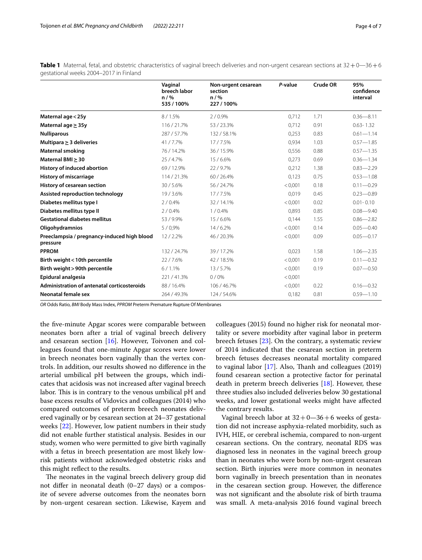|                                                         | Vaginal<br>breech labor<br>n / %<br>535 / 100% | Non-urgent cesarean<br>section<br>n / %<br>227/100% | P-value | Crude OR | 95%<br>confidence<br>interval |
|---------------------------------------------------------|------------------------------------------------|-----------------------------------------------------|---------|----------|-------------------------------|
| Maternal age < 25y                                      | 8/1.5%                                         | 2/0.9%                                              | 0.712   | 1.71     | $0.36 - 8.11$                 |
| Maternal age $\geq$ 35y                                 | 116/21.7%                                      | 53/23.3%                                            | 0,712   | 0.91     | $0.63 - 1.32$                 |
| <b>Nulliparous</b>                                      | 287/57.7%                                      | 132/58.1%                                           | 0,253   | 0.83     | $0.61 - 1.14$                 |
| Multipara $\geq$ 3 deliveries                           | 41/7.7%                                        | 17/7.5%                                             | 0,934   | 1.03     | $0.57 - 1.85$                 |
| <b>Maternal smoking</b>                                 | 76 / 14.2%                                     | 36/15.9%                                            | 0,556   | 0.88     | $0.57 - 1.35$                 |
| Maternal BMI > 30                                       | 25/4.7%                                        | 15/6.6%                                             | 0,273   | 0.69     | $0.36 - 1.34$                 |
| <b>History of induced abortion</b>                      | 69/12.9%                                       | 22/9.7%                                             | 0,212   | 1.38     | $0.83 - 2.29$                 |
| <b>History of miscarriage</b>                           | 114/21.3%                                      | 60/26.4%                                            | 0,123   | 0.75     | $0.53 - 1.08$                 |
| History of cesarean section                             | 30/5.6%                                        | 56 / 24.7%                                          | < 0.001 | 0.18     | $0.11 - 0.29$                 |
| Assisted reproduction technology                        | 19/3.6%                                        | 17/7.5%                                             | 0.019   | 0.45     | $0.23 - 0.89$                 |
| Diabetes mellitus type I                                | 2/0.4%                                         | 32/14.1%                                            | < 0.001 | 0.02     | $0.01 - 0.10$                 |
| Diabetes mellitus type II                               | 2/0.4%                                         | 1/0.4%                                              | 0,893   | 0.85     | $0.08 - 9.40$                 |
| <b>Gestational diabetes mellitus</b>                    | 53/9.9%                                        | 15/6.6%                                             | 0,144   | 1.55     | $0.86 - 2.82$                 |
| Oligohydramnios                                         | 5/0.9%                                         | 14/6.2%                                             | < 0.001 | 0.14     | $0.05 - 0.40$                 |
| Preeclampsia / pregnancy-induced high blood<br>pressure | 12/2.2%                                        | 46 / 20.3%                                          | < 0.001 | 0.09     | $0.05 - 0.17$                 |
| <b>PPROM</b>                                            | 132/24.7%                                      | 39/17.2%                                            | 0,023   | 1.58     | $1.06 - 2.35$                 |
| Birth weight < 10th percentile                          | 22/7.6%                                        | 42/18.5%                                            | < 0.001 | 0.19     | $0.11 - 0.32$                 |
| Birth weight > 90th percentile                          | 6/1.1%                                         | 13/5.7%                                             | < 0.001 | 0.19     | $0.07 - 0.50$                 |
| Epidural analgesia                                      | 221/41.3%                                      | 0/0%                                                | < 0.001 |          |                               |
| <b>Administration of antenatal corticosteroids</b>      | 88 / 16.4%                                     | 106 / 46.7%                                         | < 0.001 | 0.22     | $0.16 - 0.32$                 |
| <b>Neonatal female sex</b>                              | 264 / 49.3%                                    | 124 / 54.6%                                         | 0,182   | 0.81     | $0.59 - 1.10$                 |

<span id="page-3-0"></span>Table 1 Maternal, fetal, and obstetric characteristics of vaginal breech deliveries and non-urgent cesarean sections at  $32+0$ —36+6 gestational weeks 2004–2017 in Finland

*OR* Odds Ratio, *BMI* Body Mass Index, *PPROM* Preterm Premature Rupture Of Membranes

the fve-minute Apgar scores were comparable between neonates born after a trial of vaginal breech delivery and cesarean section [[16\]](#page-6-12). However, Toivonen and colleagues found that one-minute Apgar scores were lower in breech neonates born vaginally than the vertex controls. In addition, our results showed no diference in the arterial umbilical pH between the groups, which indicates that acidosis was not increased after vaginal breech labor. This is in contrary to the venous umbilical pH and base excess results of Vidovics and colleagues (2014) who compared outcomes of preterm breech neonates delivered vaginally or by cesarean section at 24–37 gestational weeks [[22](#page-6-16)]. However, low patient numbers in their study did not enable further statistical analysis. Besides in our study, women who were permitted to give birth vaginally with a fetus in breech presentation are most likely lowrisk patients without acknowledged obstetric risks and this might refect to the results.

The neonates in the vaginal breech delivery group did not difer in neonatal death (0–27 days) or a composite of severe adverse outcomes from the neonates born by non-urgent cesarean section. Likewise, Kayem and colleagues (2015) found no higher risk for neonatal mortality or severe morbidity after vaginal labor in preterm breech fetuses [\[23](#page-6-17)]. On the contrary, a systematic review of 2014 indicated that the cesarean section in preterm breech fetuses decreases neonatal mortality compared to vaginal labor  $[17]$  $[17]$ . Also, Thanh and colleagues  $(2019)$ found cesarean section a protective factor for perinatal death in preterm breech deliveries [\[18](#page-6-18)]. However, these three studies also included deliveries below 30 gestational weeks, and lower gestational weeks might have afected the contrary results.

Vaginal breech labor at  $32+0-36+6$  weeks of gestation did not increase asphyxia-related morbidity, such as IVH, HIE, or cerebral ischemia, compared to non-urgent cesarean sections. On the contrary, neonatal RDS was diagnosed less in neonates in the vaginal breech group than in neonates who were born by non-urgent cesarean section. Birth injuries were more common in neonates born vaginally in breech presentation than in neonates in the cesarean section group. However, the diference was not signifcant and the absolute risk of birth trauma was small. A meta-analysis 2016 found vaginal breech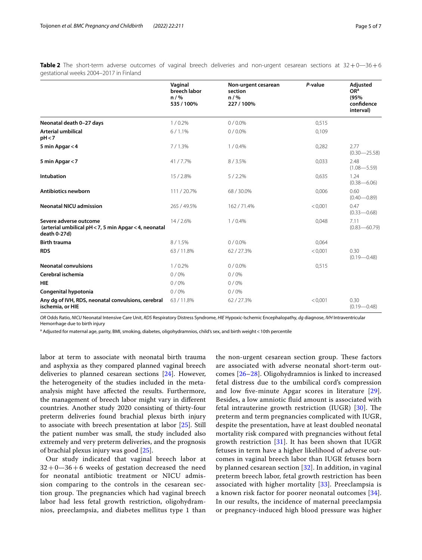|                                                                                                 | Vaginal<br>breech labor<br>n / %<br>535 / 100% | Non-urgent cesarean<br>section<br>n / %<br>227/100% | P-value | <b>Adjusted</b><br>OR <sup>a</sup><br>(95%)<br>confidence<br>interval) |
|-------------------------------------------------------------------------------------------------|------------------------------------------------|-----------------------------------------------------|---------|------------------------------------------------------------------------|
| Neonatal death 0-27 days                                                                        | 1/0.2%                                         | $0/0.0\%$                                           | 0.515   |                                                                        |
| <b>Arterial umbilical</b><br>pH < 7                                                             | 6/1.1%                                         | $0/0.0\%$                                           | 0,109   |                                                                        |
| 5 min Apgar < 4                                                                                 | 7/1.3%                                         | 1/0.4%                                              | 0,282   | 2.77<br>$(0.30 - 25.58)$                                               |
| 5 min Apgar < 7                                                                                 | 41/7.7%                                        | 8/3.5%                                              | 0,033   | 2.48<br>$(1.08 - 5.59)$                                                |
| Intubation                                                                                      | 15/2.8%                                        | 5/2.2%                                              | 0,635   | 1.24<br>$(0.38 - 6.06)$                                                |
| <b>Antibiotics newborn</b>                                                                      | 111/20.7%                                      | 68/30.0%                                            | 0,006   | 0.60<br>$(0.40 - 0.89)$                                                |
| <b>Neonatal NICU admission</b>                                                                  | 265 / 49.5%                                    | 162/71.4%                                           | < 0.001 | 0.47<br>$(0.33 - 0.68)$                                                |
| Severe adverse outcome<br>(arterial umbilical pH < 7, 5 min Apgar < 4, neonatal<br>death 0-27d) | 14/2.6%                                        | 1/0.4%                                              | 0,048   | 7.11<br>$(0.83 - 60.79)$                                               |
| <b>Birth trauma</b>                                                                             | 8/1.5%                                         | $0/0.0\%$                                           | 0,064   |                                                                        |
| <b>RDS</b>                                                                                      | 63/11.8%                                       | 62/27.3%                                            | < 0,001 | 0.30<br>$(0.19 - 0.48)$                                                |
| <b>Neonatal convulsions</b>                                                                     | 1/0.2%                                         | $0/0.0\%$                                           | 0,515   |                                                                        |
| Cerebral ischemia                                                                               | 0/0%                                           | 0/0%                                                |         |                                                                        |
| <b>HIE</b>                                                                                      | 0/0%                                           | 0/0%                                                |         |                                                                        |
| Congenital hypotonia                                                                            | 0/0%                                           | 0/0%                                                |         |                                                                        |
| Any dg of IVH, RDS, neonatal convulsions, cerebral<br>ischemia, or HIE                          | 63/11.8%                                       | 62/27.3%                                            | < 0.001 | 0.30<br>$(0.19 - 0.48)$                                                |

<span id="page-4-0"></span>**Table 2** The short-term adverse outcomes of vaginal breech deliveries and non-urgent cesarean sections at 32+0-36+6 gestational weeks 2004–2017 in Finland

*OR* Odds Ratio, *NICU* Neonatal Intensive Care Unit, *RDS* Respiratory Distress Syndrome, *HIE* Hypoxic-Ischemic Encephalopathy, *dg* diagnose, *IVH* Intraventricular Hemorrhage due to birth injury

<sup>a</sup> Adjusted for maternal age, parity, BMI, smoking, diabetes, oligohydramnios, child's sex, and birth weight < 10th percentile

labor at term to associate with neonatal birth trauma and asphyxia as they compared planned vaginal breech deliveries to planned cesarean sections [\[24\]](#page-6-19). However, the heterogeneity of the studies included in the metaanalysis might have afected the results. Furthermore, the management of breech labor might vary in diferent countries. Another study 2020 consisting of thirty-four preterm deliveries found brachial plexus birth injury to associate with breech presentation at labor [[25\]](#page-6-20). Still the patient number was small, the study included also extremely and very preterm deliveries, and the prognosis of brachial plexus injury was good [\[25\]](#page-6-20).

Our study indicated that vaginal breech labor at  $32+0-36+6$  weeks of gestation decreased the need for neonatal antibiotic treatment or NICU admission comparing to the controls in the cesarean section group. The pregnancies which had vaginal breech labor had less fetal growth restriction, oligohydramnios, preeclampsia, and diabetes mellitus type 1 than the non-urgent cesarean section group. These factors are associated with adverse neonatal short-term outcomes [[26–](#page-6-21)[28\]](#page-6-22). Oligohydramnios is linked to increased fetal distress due to the umbilical cord's compression and low fve-minute Apgar scores in literature [[29\]](#page-6-23). Besides, a low amniotic fuid amount is associated with fetal intrauterine growth restriction (IUGR)  $[30]$  $[30]$  $[30]$ . The preterm and term pregnancies complicated with IUGR, despite the presentation, have at least doubled neonatal mortality risk compared with pregnancies without fetal growth restriction  $[31]$  $[31]$  $[31]$ . It has been shown that IUGR fetuses in term have a higher likelihood of adverse outcomes in vaginal breech labor than IUGR fetuses born by planned cesarean section [\[32](#page-6-26)]. In addition, in vaginal preterm breech labor, fetal growth restriction has been associated with higher mortality [\[33](#page-6-27)]. Preeclampsia is a known risk factor for poorer neonatal outcomes [[34\]](#page-6-28). In our results, the incidence of maternal preeclampsia or pregnancy-induced high blood pressure was higher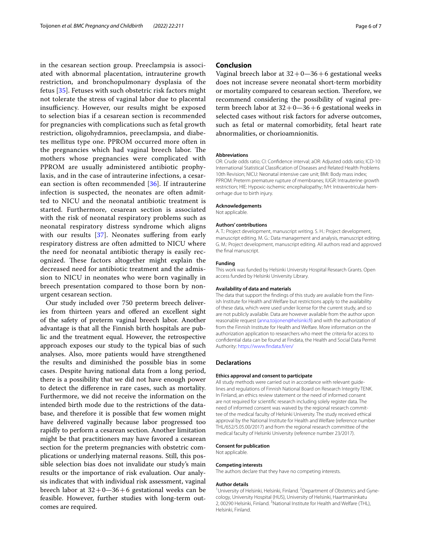in the cesarean section group. Preeclampsia is associated with abnormal placentation, intrauterine growth restriction, and bronchopulmonary dysplasia of the fetus [[35\]](#page-6-29). Fetuses with such obstetric risk factors might not tolerate the stress of vaginal labor due to placental insufficiency. However, our results might be exposed to selection bias if a cesarean section is recommended for pregnancies with complications such as fetal growth restriction, oligohydramnios, preeclampsia, and diabetes mellitus type one. PPROM occurred more often in the pregnancies which had vaginal breech labor. The mothers whose pregnancies were complicated with PPROM are usually administered antibiotic prophylaxis, and in the case of intrauterine infections, a cesarean section is often recommended [\[36\]](#page-6-30). If intrauterine infection is suspected, the neonates are often admitted to NICU and the neonatal antibiotic treatment is started. Furthermore, cesarean section is associated with the risk of neonatal respiratory problems such as neonatal respiratory distress syndrome which aligns with our results [[37\]](#page-6-31). Neonates suffering from early respiratory distress are often admitted to NICU where the need for neonatal antibiotic therapy is easily recognized. These factors altogether might explain the decreased need for antibiotic treatment and the admission to NICU in neonates who were born vaginally in breech presentation compared to those born by nonurgent cesarean section.

Our study included over 750 preterm breech deliveries from thirteen years and offered an excellent sight of the safety of preterm vaginal breech labor. Another advantage is that all the Finnish birth hospitals are public and the treatment equal. However, the retrospective approach exposes our study to the typical bias of such analyses. Also, more patients would have strengthened the results and diminished the possible bias in some cases. Despite having national data from a long period, there is a possibility that we did not have enough power to detect the diference in rare cases, such as mortality. Furthermore, we did not receive the information on the intended birth mode due to the restrictions of the database, and therefore it is possible that few women might have delivered vaginally because labor progressed too rapidly to perform a cesarean section. Another limitation might be that practitioners may have favored a cesarean section for the preterm pregnancies with obstetric complications or underlying maternal reasons. Still, this possible selection bias does not invalidate our study's main results or the importance of risk evaluation. Our analysis indicates that with individual risk assessment, vaginal breech labor at  $32+0-36+6$  gestational weeks can be feasible. However, further studies with long-term outcomes are required.

## **Conclusion**

Vaginal breech labor at  $32+0-36+6$  gestational weeks does not increase severe neonatal short-term morbidity or mortality compared to cesarean section. Therefore, we recommend considering the possibility of vaginal preterm breech labor at  $32+0-36+6$  gestational weeks in selected cases without risk factors for adverse outcomes, such as fetal or maternal comorbidity, fetal heart rate abnormalities, or chorioamnionitis.

#### **Abbreviations**

OR: Crude odds ratio; CI: Confdence interval; aOR: Adjusted odds ratio; ICD-10: International Statistical Classifcation of Diseases and Related Health Problems 10th Revision; NICU: Neonatal intensive care unit; BMI: Body mass index; PPROM: Preterm premature rupture of membranes; IUGR: Intrauterine growth restriction; HIE: Hypoxic-ischemic encephalopathy; IVH: Intraventricular hemorrhage due to birth injury.

#### **Acknowledgements**

Not applicable.

#### **Authors' contributions**

A. T.: Project development, manuscript writing. S. H.: Project development, manuscript editing. M. G.: Data management and analysis, manuscript editing. G. M.: Project development, manuscript editing. All authors read and approved the fnal manuscript.

#### **Funding**

This work was funded by Helsinki University Hospital Research Grants. Open access funded by Helsinki University Library.

#### **Availability of data and materials**

The data that support the fndings of this study are available from the Finnish Institute for Health and Welfare but restrictions apply to the availability of these data, which were used under license for the current study, and so are not publicly available. Data are however available from the author upon reasonable request [\(anna.toijonen@helsinki.f](anna.toijonen@helsinki.fi)) and with the authorization of from the Finnish Institute for Health and Welfare. More information on the authorization application to researchers who meet the criteria for access to confdential data can be found at Findata, the Health and Social Data Permit Authority: [https://www.fndata.f/en/](https://www.findata.fi/en/)

#### **Declarations**

#### **Ethics approval and consent to participate**

All study methods were carried out in accordance with relevant guidelines and regulations of Finnish National Board on Research Integrity TENK. In Finland, an ethics review statement or the need of informed consent are not required for scientifc research including solely register data. The need of informed consent was waived by the regional research committee of the medical faculty of Helsinki University. The study received ethical approval by the National Institute for Health and Welfare (reference number THL/652/5.05.00/2017) and from the regional research committee of the medical faculty of Helsinki University (reference number 23/2017).

#### **Consent for publication**

Not applicable.

#### **Competing interests**

The authors declare that they have no competing interests.

#### **Author details**

<sup>1</sup> University of Helsinki, Helsinki, Finland. <sup>2</sup> Department of Obstetrics and Gynecology, University Hospital (HUS), University of Helsinki, Haartmaninkatu 2, 00290 Helsinki, Finland. <sup>3</sup>National Institute for Health and Welfare (THL), Helsinki, Finland.